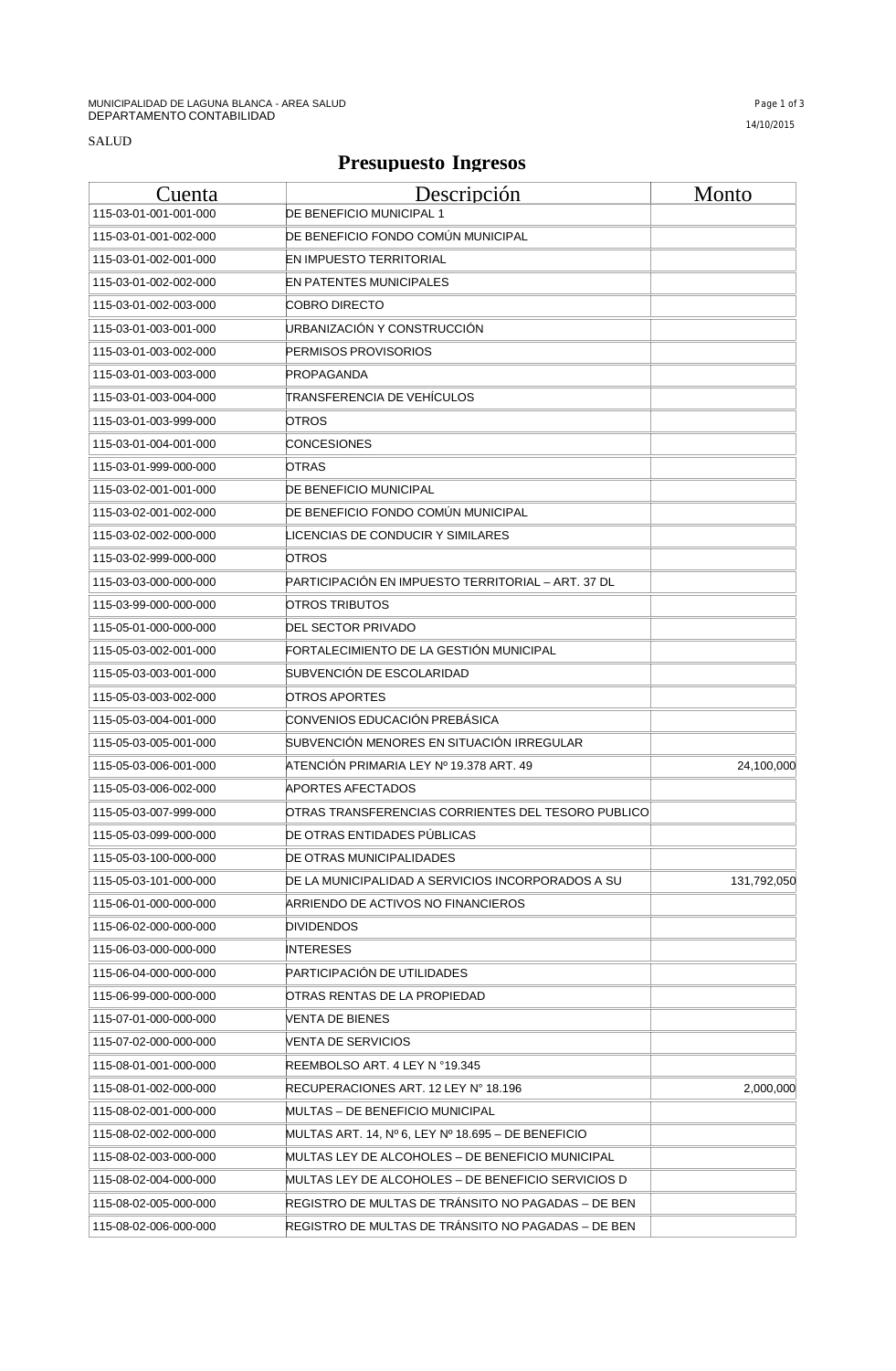## **Presupuesto Ingresos**

| Cuenta                | Descripción                                        | Monto       |
|-----------------------|----------------------------------------------------|-------------|
| 115-03-01-001-001-000 | DE BENEFICIO MUNICIPAL 1                           |             |
| 115-03-01-001-002-000 | DE BENEFICIO FONDO COMÚN MUNICIPAL                 |             |
| 115-03-01-002-001-000 | EN IMPUESTO TERRITORIAL                            |             |
| 115-03-01-002-002-000 | EN PATENTES MUNICIPALES                            |             |
| 115-03-01-002-003-000 | COBRO DIRECTO                                      |             |
| 115-03-01-003-001-000 | URBANIZACIÓN Y CONSTRUCCIÓN                        |             |
| 115-03-01-003-002-000 | PERMISOS PROVISORIOS                               |             |
| 115-03-01-003-003-000 | PROPAGANDA                                         |             |
| 115-03-01-003-004-000 | TRANSFERENCIA DE VEHÍCULOS                         |             |
| 115-03-01-003-999-000 | OTROS                                              |             |
| 115-03-01-004-001-000 | CONCESIONES                                        |             |
| 115-03-01-999-000-000 | OTRAS                                              |             |
| 115-03-02-001-001-000 | DE BENEFICIO MUNICIPAL                             |             |
| 115-03-02-001-002-000 | DE BENEFICIO FONDO COMÚN MUNICIPAL                 |             |
| 115-03-02-002-000-000 | LICENCIAS DE CONDUCIR Y SIMILARES.                 |             |
| 115-03-02-999-000-000 | OTROS                                              |             |
| 115-03-03-000-000-000 | PARTICIPACIÓN EN IMPUESTO TERRITORIAL – ART. 37 DL |             |
| 115-03-99-000-000-000 | OTROS TRIBUTOS                                     |             |
| 115-05-01-000-000-000 | DEL SECTOR PRIVADO                                 |             |
| 115-05-03-002-001-000 | FORTALECIMIENTO DE LA GESTIÓN MUNICIPAL            |             |
| 115-05-03-003-001-000 | SUBVENCION DE ESCOLARIDAD                          |             |
| 115-05-03-003-002-000 | OTROS APORTES                                      |             |
| 115-05-03-004-001-000 | CONVENIOS EDUCACIÓN PREBÁSICA                      |             |
| 115-05-03-005-001-000 | SUBVENCIÓN MENORES EN SITUACIÓN IRREGULAR          |             |
| 115-05-03-006-001-000 | ATENCIÓN PRIMARIA LEY № 19.378 ART. 49             | 24,100,000  |
| 115-05-03-006-002-000 | APORTES AFECTADOS                                  |             |
| 115-05-03-007-999-000 | OTRAS TRANSFERENCIAS CORRIENTES DEL TESORO PUBLICO |             |
| 115-05-03-099-000-000 | DE OTRAS ENTIDADES PUBLICAS                        |             |
| 115-05-03-100-000-000 | DE OTRAS MUNICIPALIDADES                           |             |
| 115-05-03-101-000-000 | DE LA MUNICIPALIDAD A SERVICIOS INCORPORADOS A SU  | 131,792,050 |
| 115-06-01-000-000-000 | ARRIENDO DE ACTIVOS NO FINANCIEROS                 |             |
| 115-06-02-000-000-000 | DIVIDENDOS                                         |             |
| 115-06-03-000-000-000 | INTERESES                                          |             |
| 115-06-04-000-000-000 | PARTICIPACIÓN DE UTILIDADES                        |             |
| 115-06-99-000-000-000 | OTRAS RENTAS DE LA PROPIEDAD                       |             |
| 115-07-01-000-000-000 | VENTA DE BIENES                                    |             |
| 115-07-02-000-000-000 | VENTA DE SERVICIOS                                 |             |
| 115-08-01-001-000-000 | REEMBOLSO ART. 4 LEY N °19.345                     |             |
| 115-08-01-002-000-000 | RECUPERACIONES ART. 12 LEY N° 18.196               | 2,000,000   |
| 115-08-02-001-000-000 | MULTAS – DE BENEFICIO MUNICIPAL                    |             |
| 115-08-02-002-000-000 | MULTAS ART. 14, № 6, LEY № 18.695 – DE BENEFICIO   |             |
| 115-08-02-003-000-000 | MULTAS LEY DE ALCOHOLES – DE BENEFICIO MUNICIPAL   |             |
| 115-08-02-004-000-000 | MULTAS LEY DE ALCOHOLES – DE BENEFICIO SERVICIOS D |             |
| 115-08-02-005-000-000 | REGISTRO DE MULTAS DE TRANSITO NO PAGADAS – DE BEN |             |
| 115-08-02-006-000-000 | REGISTRO DE MULTAS DE TRÁNSITO NO PAGADAS - DE BEN |             |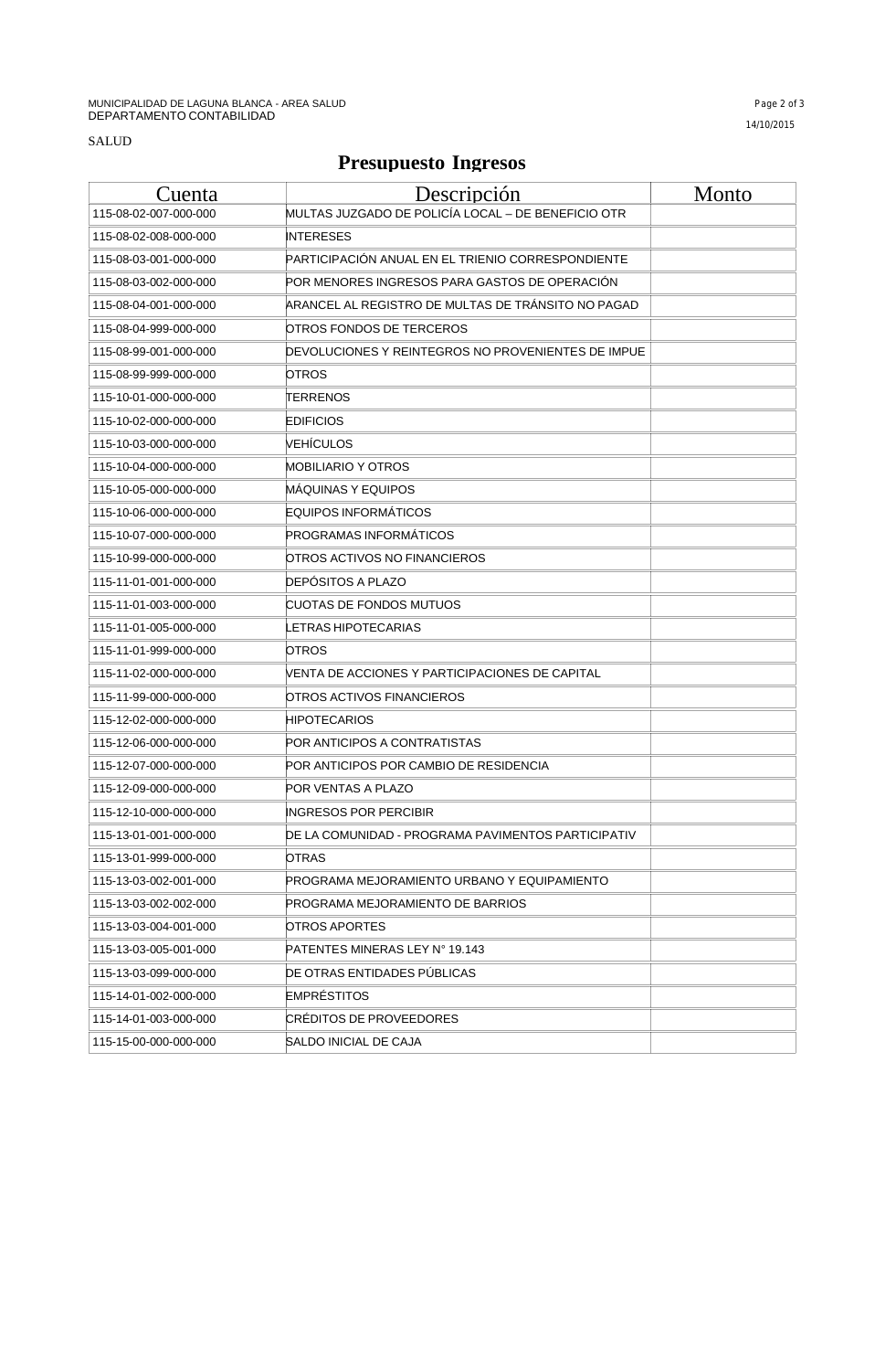## **Presupuesto Ingresos**

| Cuenta                | Descripción                                        | Monto |
|-----------------------|----------------------------------------------------|-------|
| 115-08-02-007-000-000 | MULTAS JUZGADO DE POLICÍA LOCAL - DE BENEFICIO OTR |       |
| 115-08-02-008-000-000 | <b>INTERESES</b>                                   |       |
| 115-08-03-001-000-000 | PARTICIPACIÓN ANUAL EN EL TRIENIO CORRESPONDIENTE  |       |
| 115-08-03-002-000-000 | POR MENORES INGRESOS PARA GASTOS DE OPERACIÓN      |       |
| 115-08-04-001-000-000 | ARANCEL AL REGISTRO DE MULTAS DE TRÁNSITO NO PAGAD |       |
| 115-08-04-999-000-000 | OTROS FONDOS DE TERCEROS                           |       |
| 115-08-99-001-000-000 | DEVOLUCIONES Y REINTEGROS NO PROVENIENTES DE IMPUE |       |
| 115-08-99-999-000-000 | OTROS                                              |       |
| 115-10-01-000-000-000 | TERRENOS                                           |       |
| 115-10-02-000-000-000 | EDIFICIOS                                          |       |
| 115-10-03-000-000-000 | VEHÍCULOS                                          |       |
| 115-10-04-000-000-000 | MOBILIARIO Y OTROS                                 |       |
| 115-10-05-000-000-000 | MAQUINAS Y EQUIPOS                                 |       |
| 115-10-06-000-000-000 | EQUIPOS INFORMÁTICOS                               |       |
| 115-10-07-000-000-000 | <b>PROGRAMAS INFORMÁTICOS</b>                      |       |
| 115-10-99-000-000-000 | OTROS ACTIVOS NO FINANCIEROS                       |       |
| 115-11-01-001-000-000 | <b>DEPÓSITOS A PLAZO</b>                           |       |
| 115-11-01-003-000-000 | CUOTAS DE FONDOS MUTUOS                            |       |
| 115-11-01-005-000-000 | ETRAS HIPOTECARIAS.                                |       |
| 115-11-01-999-000-000 | OTROS                                              |       |
| 115-11-02-000-000-000 | VENTA DE ACCIONES Y PARTICIPACIONES DE CAPITAL     |       |
| 115-11-99-000-000-000 | OTROS ACTIVOS FINANCIEROS                          |       |
| 115-12-02-000-000-000 | HIPOTECARIOS                                       |       |
| 115-12-06-000-000-000 | POR ANTICIPOS A CONTRATISTAS                       |       |
| 115-12-07-000-000-000 | POR ANTICIPOS POR CAMBIO DE RESIDENCIA             |       |
| 115-12-09-000-000-000 | POR VENTAS A PLAZO                                 |       |
| 115-12-10-000-000-000 | INGRESOS POR PERCIBIR                              |       |
| 115-13-01-001-000-000 | DE LA COMUNIDAD - PROGRAMA PAVIMENTOS PARTICIPATIV |       |
| 115-13-01-999-000-000 | OTRAS                                              |       |
| 115-13-03-002-001-000 | PROGRAMA MEJORAMIENTO URBANO Y EQUIPAMIENTO        |       |
| 115-13-03-002-002-000 | PROGRAMA MEJORAMIENTO DE BARRIOS                   |       |
| 115-13-03-004-001-000 | OTROS APORTES                                      |       |
| 115-13-03-005-001-000 | PATENTES MINERAS LEY N° 19.143                     |       |
| 115-13-03-099-000-000 | DE OTRAS ENTIDADES PÚBLICAS                        |       |
| 115-14-01-002-000-000 | <b>EMPRÉSTITOS</b>                                 |       |
| 115-14-01-003-000-000 | CRÉDITOS DE PROVEEDORES                            |       |
| 115-15-00-000-000-000 | SALDO INICIAL DE CAJA                              |       |